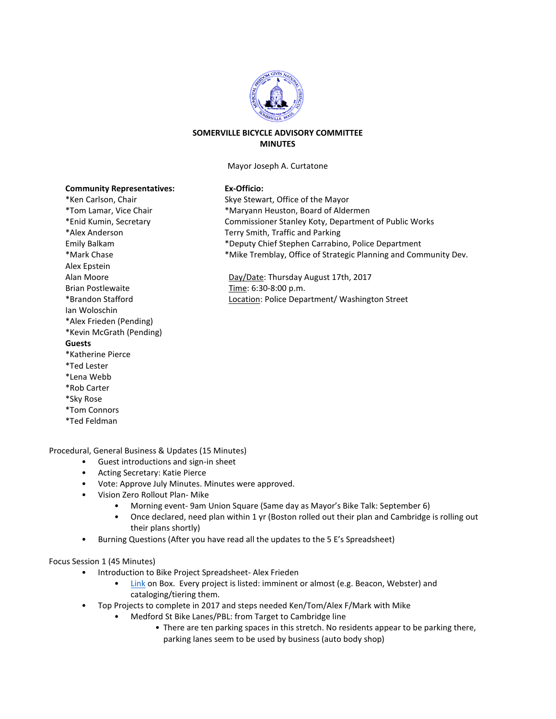

## **SOMERVILLE BICYCLE ADVISORY COMMITTEE MINUTES**

Mayor Joseph A. Curtatone

Skye Stewart, Office of the Mayor \*Maryann Heuston, Board of Aldermen

Terry Smith, Traffic and Parking

Time: 6:30-8:00 p.m.

Day/Date: Thursday August 17th, 2017

Commissioner Stanley Koty, Department of Public Works

\*Mike Tremblay, Office of Strategic Planning and Community Dev.

\*Deputy Chief Stephen Carrabino, Police Department

Location: Police Department/ Washington Street

## $Ex-Officio:$

| <b>Community Representatives:</b> |
|-----------------------------------|
| *Ken Carlson, Chair               |
| *Tom Lamar, Vice Chair            |
| *Enid Kumin, Secretary            |
| *Alex Anderson                    |
| Emily Balkam                      |
| *Mark Chase                       |
| Alex Epstein                      |
| Alan Moore                        |
| Brian Postlewaite                 |
| *Brandon Stafford                 |
| Ian Woloschin                     |
| *Alex Frieden (Pending)           |
| *Kevin McGrath (Pending)          |
| Guests                            |
| *Katherine Pierce                 |
| *Ted Lester                       |
| *Lena Webb                        |
| *Rob Carter                       |
| *Sky Rose                         |
| *Tom Connors                      |

\*Ted Feldman

Procedural, General Business & Updates (15 Minutes)

- Guest introductions and sign-in sheet
- Acting Secretary: Katie Pierce
- Vote: Approve July Minutes. Minutes were approved.
- Vision Zero Rollout Plan- Mike
	- Morning event- 9am Union Square (Same day as Mayor's Bike Talk: September 6)
	- Once declared, need plan within 1 yr (Boston rolled out their plan and Cambridge is rolling out their plans shortly)
- Burning Questions (After you have read all the updates to the 5 E's Spreadsheet)

## Focus Session 1 (45 Minutes)

- Introduction to Bike Project Spreadsheet- Alex Frieden
	- [Link](https://app.box.com/s/i2qngctobpsis7unyy4shmkukcr3u7iy) on Box. Every project is listed: imminent or almost (e.g. Beacon, Webster) and cataloging/tiering them.
- Top Projects to complete in 2017 and steps needed Ken/Tom/Alex F/Mark with Mike
	- Medford St Bike Lanes/PBL: from Target to Cambridge line
		- There are ten parking spaces in this stretch. No residents appear to be parking there, parking lanes seem to be used by business (auto body shop)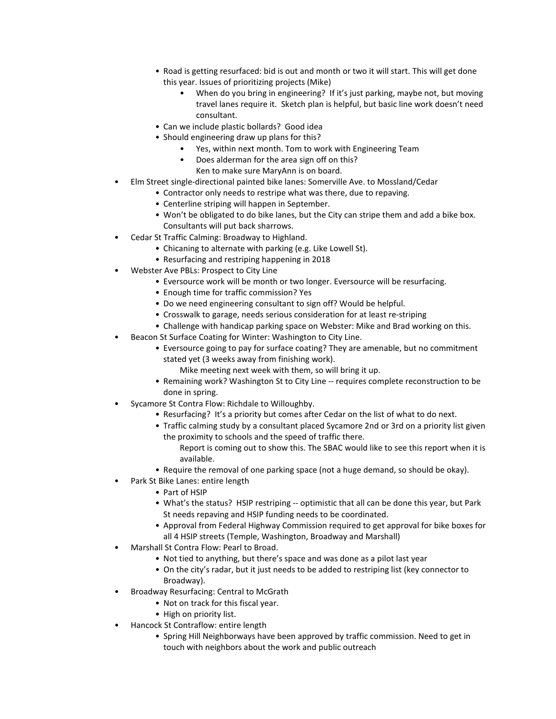- Road is getting resurfaced: bid is out and month or two it will start. This will get done this year. Issues of prioritizing projects (Mike)
	- When do you bring in engineering? If it's just parking, maybe not, but moving travel lanes require it. Sketch plan is helpful, but basic line work doesn't need consultant.
- Can we include plastic bollards? Good idea
- Should engineering draw up plans for this?
	- Yes, within next month. Tom to work with Engineering Team
	- Does alderman for the area sign off on this?
		- Ken to make sure MaryAnn is on board.
- Elm Street single-directional painted bike lanes: Somerville Ave. to Mossland/Cedar
	- Contractor only needs to restripe what was there, due to repaving.
	- Centerline striping will happen in September.
	- Won't be obligated to do bike lanes, but the City can stripe them and add a bike box. Consultants will put back sharrows.
- Cedar St Traffic Calming: Broadway to Highland.
	- Chicaning to alternate with parking (e.g. Like Lowell St).
	- Resurfacing and restriping happening in 2018
- Webster Ave PBLs: Prospect to City Line
	- Eversource work will be month or two longer. Eversource will be resurfacing.
	- Enough time for traffic commission? Yes
	- Do we need engineering consultant to sign off? Would be helpful.
	- Crosswalk to garage, needs serious consideration for at least re-striping
	- Challenge with handicap parking space on Webster: Mike and Brad working on this.
- Beacon St Surface Coating for Winter: Washington to City Line.
	- Eversource going to pay for surface coating? They are amenable, but no commitment stated yet (3 weeks away from finishing work).
		- Mike meeting next week with them, so will bring it up.
	- Remaining work? Washington St to City Line -- requires complete reconstruction to be done in spring.
- Sycamore St Contra Flow: Richdale to Willoughby.
	- Resurfacing? It's a priority but comes after Cedar on the list of what to do next.
	- Traffic calming study by a consultant placed Sycamore 2nd or 3rd on a priority list given the proximity to schools and the speed of traffic there.
		- Report is coming out to show this. The SBAC would like to see this report when it is available.
	- Require the removal of one parking space (not a huge demand, so should be okay).
- Park St Bike Lanes: entire length
	- Part of HSIP
	- What's the status? HSIP restriping -- optimistic that all can be done this year, but Park St needs repaving and HSIP funding needs to be coordinated.
	- Approval from Federal Highway Commission required to get approval for bike boxes for all 4 HSIP streets (Temple, Washington, Broadway and Marshall)
- Marshall St Contra Flow: Pearl to Broad.
	- Not tied to anything, but there's space and was done as a pilot last year
	- On the city's radar, but it just needs to be added to restriping list (key connector to Broadway).
- Broadway Resurfacing: Central to McGrath
	- Not on track for this fiscal year.
	- High on priority list.
- Hancock St Contraflow: entire length
	- Spring Hill Neighborways have been approved by traffic commission. Need to get in touch with neighbors about the work and public outreach